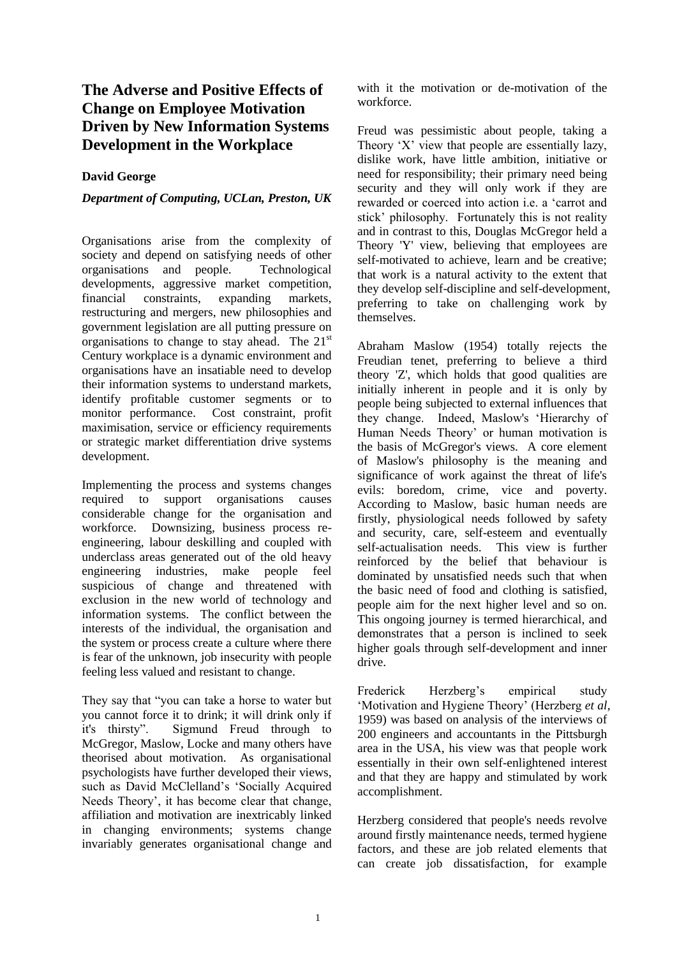## **The Adverse and Positive Effects of Change on Employee Motivation Driven by New Information Systems Development in the Workplace**

## **David George**

## *Department of Computing, UCLan, Preston, UK*

Organisations arise from the complexity of society and depend on satisfying needs of other organisations and people. Technological developments, aggressive market competition, financial constraints, expanding markets, restructuring and mergers, new philosophies and government legislation are all putting pressure on organisations to change to stay ahead. The  $21<sup>st</sup>$ Century workplace is a dynamic environment and organisations have an insatiable need to develop their information systems to understand markets, identify profitable customer segments or to monitor performance. Cost constraint, profit maximisation, service or efficiency requirements or strategic market differentiation drive systems development.

Implementing the process and systems changes required to support organisations causes considerable change for the organisation and workforce. Downsizing, business process reengineering, labour deskilling and coupled with underclass areas generated out of the old heavy engineering industries, make people feel suspicious of change and threatened with exclusion in the new world of technology and information systems. The conflict between the interests of the individual, the organisation and the system or process create a culture where there is fear of the unknown, job insecurity with people feeling less valued and resistant to change.

They say that "you can take a horse to water but you cannot force it to drink; it will drink only if it's thirsty". Sigmund Freud through to McGregor, Maslow, Locke and many others have theorised about motivation. As organisational psychologists have further developed their views, such as David McClelland's 'Socially Acquired Needs Theory', it has become clear that change, affiliation and motivation are inextricably linked in changing environments; systems change invariably generates organisational change and with it the motivation or de-motivation of the workforce.

Freud was pessimistic about people, taking a Theory 'X' view that people are essentially lazy, dislike work, have little ambition, initiative or need for responsibility; their primary need being security and they will only work if they are rewarded or coerced into action i.e. a 'carrot and stick' philosophy. Fortunately this is not reality and in contrast to this, Douglas McGregor held a Theory 'Y' view, believing that employees are self-motivated to achieve, learn and be creative; that work is a natural activity to the extent that they develop self-discipline and self-development, preferring to take on challenging work by themselves.

Abraham Maslow (1954) totally rejects the Freudian tenet, preferring to believe a third theory 'Z', which holds that good qualities are initially inherent in people and it is only by people being subjected to external influences that they change. Indeed, Maslow's 'Hierarchy of Human Needs Theory' or human motivation is the basis of McGregor's views. A core element of Maslow's philosophy is the meaning and significance of work against the threat of life's evils: boredom, crime, vice and poverty. According to Maslow, basic human needs are firstly, physiological needs followed by safety and security, care, self-esteem and eventually self-actualisation needs. This view is further reinforced by the belief that behaviour is dominated by unsatisfied needs such that when the basic need of food and clothing is satisfied, people aim for the next higher level and so on. This ongoing journey is termed hierarchical, and demonstrates that a person is inclined to seek higher goals through self-development and inner drive.

Frederick Herzberg's empirical study 'Motivation and Hygiene Theory' (Herzberg *et al*, 1959) was based on analysis of the interviews of 200 engineers and accountants in the Pittsburgh area in the USA, his view was that people work essentially in their own self-enlightened interest and that they are happy and stimulated by work accomplishment.

Herzberg considered that people's needs revolve around firstly maintenance needs, termed hygiene factors, and these are job related elements that can create job dissatisfaction, for example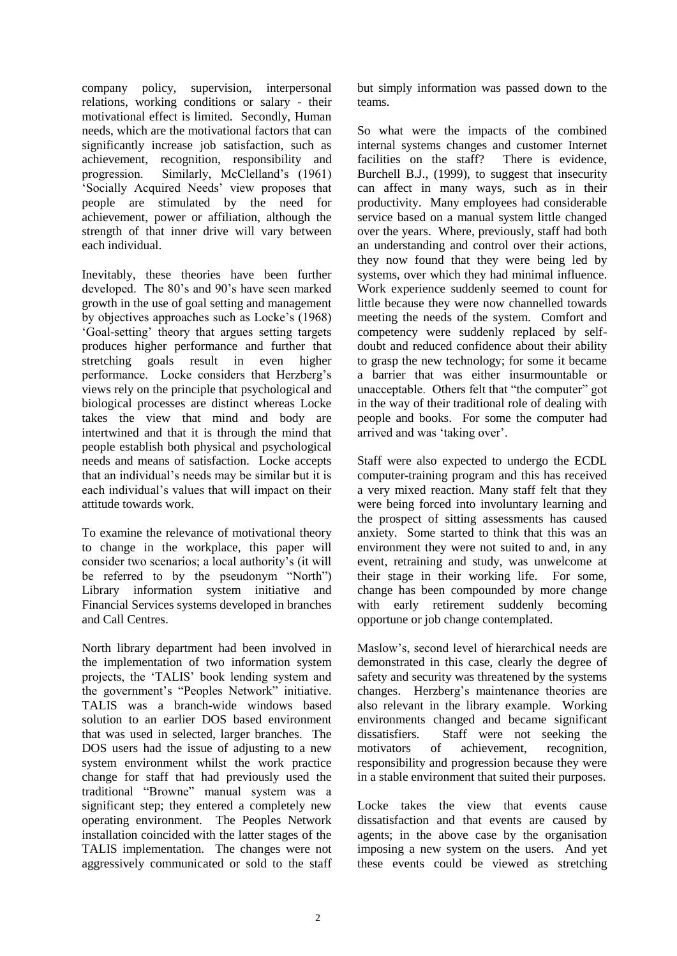company policy, supervision, interpersonal relations, working conditions or salary - their motivational effect is limited. Secondly, Human needs, which are the motivational factors that can significantly increase job satisfaction, such as achievement, recognition, responsibility and progression. Similarly, McClelland's (1961) 'Socially Acquired Needs' view proposes that people are stimulated by the need for achievement, power or affiliation, although the strength of that inner drive will vary between each individual.

Inevitably, these theories have been further developed. The 80's and 90's have seen marked growth in the use of goal setting and management by objectives approaches such as Locke's (1968) 'Goal-setting' theory that argues setting targets produces higher performance and further that stretching goals result in even higher performance. Locke considers that Herzberg's views rely on the principle that psychological and biological processes are distinct whereas Locke takes the view that mind and body are intertwined and that it is through the mind that people establish both physical and psychological needs and means of satisfaction. Locke accepts that an individual's needs may be similar but it is each individual's values that will impact on their attitude towards work.

To examine the relevance of motivational theory to change in the workplace, this paper will consider two scenarios; a local authority's (it will be referred to by the pseudonym "North") Library information system initiative and Financial Services systems developed in branches and Call Centres.

North library department had been involved in the implementation of two information system projects, the 'TALIS' book lending system and the government's "Peoples Network" initiative. TALIS was a branch-wide windows based solution to an earlier DOS based environment that was used in selected, larger branches. The DOS users had the issue of adjusting to a new system environment whilst the work practice change for staff that had previously used the traditional "Browne" manual system was a significant step; they entered a completely new operating environment. The Peoples Network installation coincided with the latter stages of the TALIS implementation. The changes were not aggressively communicated or sold to the staff but simply information was passed down to the teams.

So what were the impacts of the combined internal systems changes and customer Internet facilities on the staff? There is evidence, Burchell B.J., (1999), to suggest that insecurity can affect in many ways, such as in their productivity. Many employees had considerable service based on a manual system little changed over the years. Where, previously, staff had both an understanding and control over their actions, they now found that they were being led by systems, over which they had minimal influence. Work experience suddenly seemed to count for little because they were now channelled towards meeting the needs of the system. Comfort and competency were suddenly replaced by selfdoubt and reduced confidence about their ability to grasp the new technology; for some it became a barrier that was either insurmountable or unacceptable. Others felt that "the computer" got in the way of their traditional role of dealing with people and books. For some the computer had arrived and was 'taking over'.

Staff were also expected to undergo the ECDL computer-training program and this has received a very mixed reaction. Many staff felt that they were being forced into involuntary learning and the prospect of sitting assessments has caused anxiety. Some started to think that this was an environment they were not suited to and, in any event, retraining and study, was unwelcome at their stage in their working life. For some, change has been compounded by more change with early retirement suddenly becoming opportune or job change contemplated.

Maslow's, second level of hierarchical needs are demonstrated in this case, clearly the degree of safety and security was threatened by the systems changes. Herzberg's maintenance theories are also relevant in the library example. Working environments changed and became significant dissatisfiers. Staff were not seeking the motivators of achievement, recognition, responsibility and progression because they were in a stable environment that suited their purposes.

Locke takes the view that events cause dissatisfaction and that events are caused by agents; in the above case by the organisation imposing a new system on the users. And yet these events could be viewed as stretching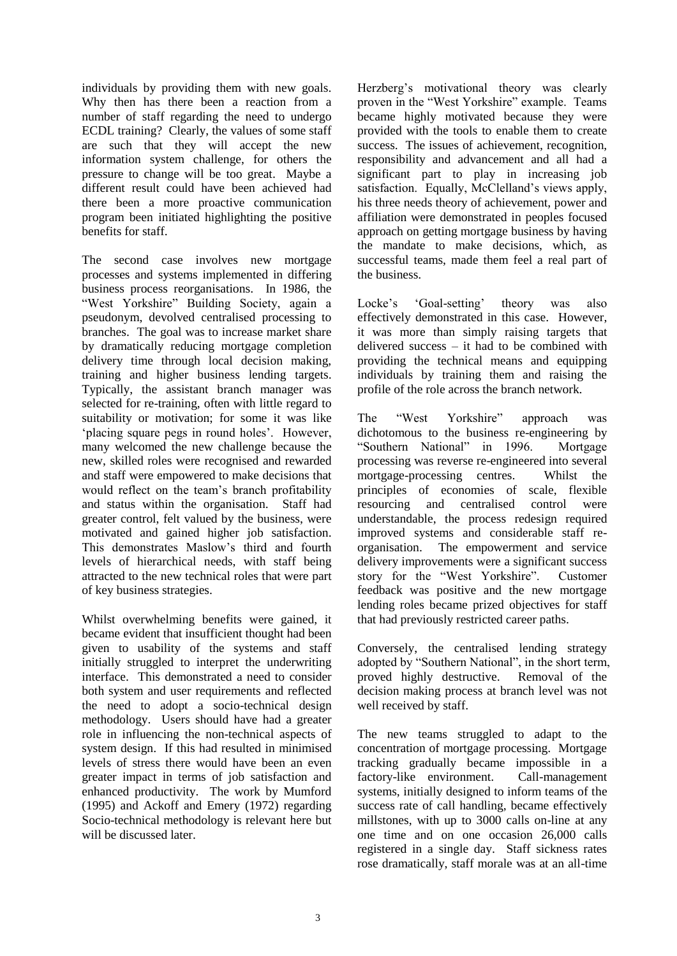individuals by providing them with new goals. Why then has there been a reaction from a number of staff regarding the need to undergo ECDL training? Clearly, the values of some staff are such that they will accept the new information system challenge, for others the pressure to change will be too great. Maybe a different result could have been achieved had there been a more proactive communication program been initiated highlighting the positive benefits for staff.

The second case involves new mortgage processes and systems implemented in differing business process reorganisations. In 1986, the "West Yorkshire" Building Society, again a pseudonym, devolved centralised processing to branches. The goal was to increase market share by dramatically reducing mortgage completion delivery time through local decision making, training and higher business lending targets. Typically, the assistant branch manager was selected for re-training, often with little regard to suitability or motivation; for some it was like 'placing square pegs in round holes'. However, many welcomed the new challenge because the new, skilled roles were recognised and rewarded and staff were empowered to make decisions that would reflect on the team's branch profitability and status within the organisation. Staff had greater control, felt valued by the business, were motivated and gained higher job satisfaction. This demonstrates Maslow's third and fourth levels of hierarchical needs, with staff being attracted to the new technical roles that were part of key business strategies.

Whilst overwhelming benefits were gained, it became evident that insufficient thought had been given to usability of the systems and staff initially struggled to interpret the underwriting interface. This demonstrated a need to consider both system and user requirements and reflected the need to adopt a socio-technical design methodology. Users should have had a greater role in influencing the non-technical aspects of system design. If this had resulted in minimised levels of stress there would have been an even greater impact in terms of job satisfaction and enhanced productivity. The work by Mumford (1995) and Ackoff and Emery (1972) regarding Socio-technical methodology is relevant here but will be discussed later.

Herzberg's motivational theory was clearly proven in the "West Yorkshire" example. Teams became highly motivated because they were provided with the tools to enable them to create success. The issues of achievement, recognition, responsibility and advancement and all had a significant part to play in increasing job satisfaction. Equally, McClelland's views apply, his three needs theory of achievement, power and affiliation were demonstrated in peoples focused approach on getting mortgage business by having the mandate to make decisions, which, as successful teams, made them feel a real part of the business.

Locke's 'Goal-setting' theory was also effectively demonstrated in this case. However, it was more than simply raising targets that delivered success – it had to be combined with providing the technical means and equipping individuals by training them and raising the profile of the role across the branch network.

The "West Yorkshire" approach was dichotomous to the business re-engineering by "Southern National" in 1996. Mortgage processing was reverse re-engineered into several mortgage-processing centres. Whilst the principles of economies of scale, flexible resourcing and centralised control were understandable, the process redesign required improved systems and considerable staff reorganisation. The empowerment and service delivery improvements were a significant success story for the "West Yorkshire". Customer feedback was positive and the new mortgage lending roles became prized objectives for staff that had previously restricted career paths.

Conversely, the centralised lending strategy adopted by "Southern National", in the short term, proved highly destructive. Removal of the decision making process at branch level was not well received by staff.

The new teams struggled to adapt to the concentration of mortgage processing. Mortgage tracking gradually became impossible in a factory-like environment. Call-management systems, initially designed to inform teams of the success rate of call handling, became effectively millstones, with up to 3000 calls on-line at any one time and on one occasion 26,000 calls registered in a single day. Staff sickness rates rose dramatically, staff morale was at an all-time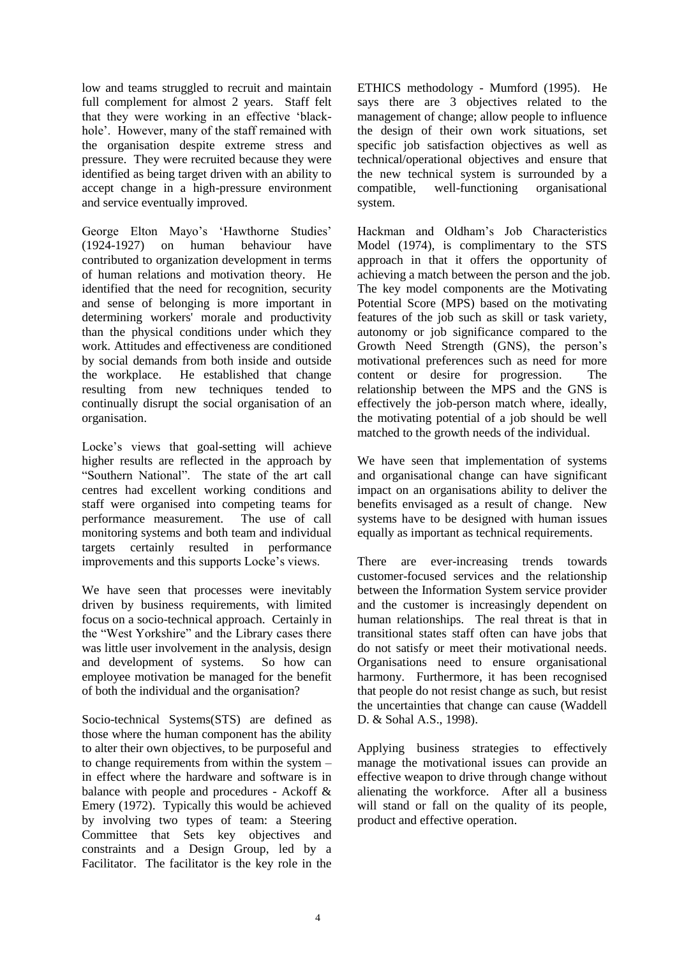low and teams struggled to recruit and maintain full complement for almost 2 years. Staff felt that they were working in an effective 'blackhole'. However, many of the staff remained with the organisation despite extreme stress and pressure. They were recruited because they were identified as being target driven with an ability to accept change in a high-pressure environment and service eventually improved.

George Elton Mayo's 'Hawthorne Studies' (1924-1927) on human behaviour have contributed to organization development in terms of human relations and motivation theory. He identified that the need for recognition, security and sense of belonging is more important in determining workers' morale and productivity than the physical conditions under which they work. Attitudes and effectiveness are conditioned by social demands from both inside and outside the workplace. He established that change resulting from new techniques tended to continually disrupt the social organisation of an organisation.

Locke's views that goal-setting will achieve higher results are reflected in the approach by "Southern National". The state of the art call centres had excellent working conditions and staff were organised into competing teams for performance measurement. The use of call monitoring systems and both team and individual targets certainly resulted in performance improvements and this supports Locke's views.

We have seen that processes were inevitably driven by business requirements, with limited focus on a socio-technical approach. Certainly in the "West Yorkshire" and the Library cases there was little user involvement in the analysis, design and development of systems. So how can employee motivation be managed for the benefit of both the individual and the organisation?

Socio-technical Systems(STS) are defined as those where the human component has the ability to alter their own objectives, to be purposeful and to change requirements from within the system – in effect where the hardware and software is in balance with people and procedures - Ackoff & Emery (1972). Typically this would be achieved by involving two types of team: a Steering Committee that Sets key objectives and constraints and a Design Group, led by a Facilitator. The facilitator is the key role in the ETHICS methodology - Mumford (1995). He says there are 3 objectives related to the management of change; allow people to influence the design of their own work situations, set specific job satisfaction objectives as well as technical/operational objectives and ensure that the new technical system is surrounded by a compatible, well-functioning organisational system.

Hackman and Oldham's Job Characteristics Model (1974), is complimentary to the STS approach in that it offers the opportunity of achieving a match between the person and the job. The key model components are the Motivating Potential Score (MPS) based on the motivating features of the job such as skill or task variety, autonomy or job significance compared to the Growth Need Strength (GNS), the person's motivational preferences such as need for more content or desire for progression. The relationship between the MPS and the GNS is effectively the job-person match where, ideally, the motivating potential of a job should be well matched to the growth needs of the individual.

We have seen that implementation of systems and organisational change can have significant impact on an organisations ability to deliver the benefits envisaged as a result of change. New systems have to be designed with human issues equally as important as technical requirements.

There are ever-increasing trends towards customer-focused services and the relationship between the Information System service provider and the customer is increasingly dependent on human relationships. The real threat is that in transitional states staff often can have jobs that do not satisfy or meet their motivational needs. Organisations need to ensure organisational harmony. Furthermore, it has been recognised that people do not resist change as such, but resist the uncertainties that change can cause (Waddell D. & Sohal A.S., 1998).

Applying business strategies to effectively manage the motivational issues can provide an effective weapon to drive through change without alienating the workforce. After all a business will stand or fall on the quality of its people, product and effective operation.